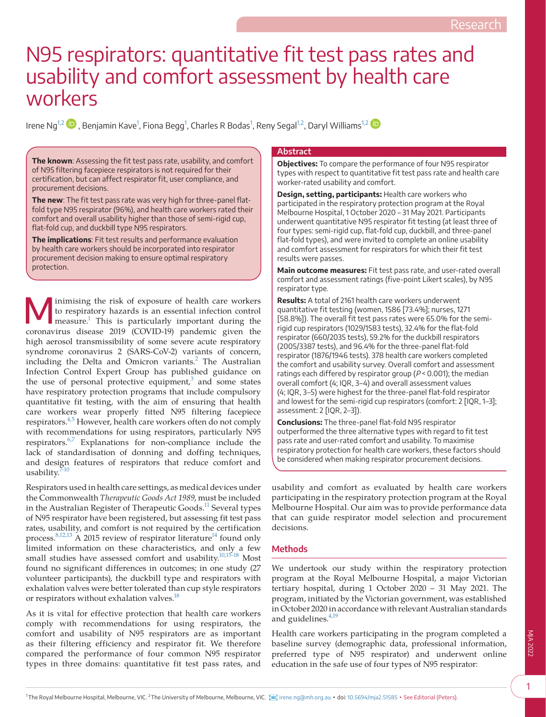# N95 respirators: quantitative fit test pass rates and usability and comfort assessment by health care workers

Irene Ng<sup>[1,2](#page-0-0)</sup> ��, Benjamin Kave<sup>[1](#page-0-0)</sup>, Fiona Begg<sup>1</sup>, Charles R Bodas<sup>1</sup>, Reny Segal<sup>1,2</sup>, Daryl Williams<sup>1,2</sup>

**The known**: Assessing the fit test pass rate, usability, and comfort of N95 filtering facepiece respirators is not required for their certification, but can affect respirator fit, user compliance, and procurement decisions.

**The new**: The fit test pass rate was very high for three-panel flatfold type N95 respirator (96%), and health care workers rated their comfort and overall usability higher than those of semi-rigid cup, flat-fold cup, and duckbill type N95 respirators.

**The implications**: Fit test results and performance evaluation by health care workers should be incorporated into respirator procurement decision making to ensure optimal respiratory protection.

**M** inimising the risk of exposure of health care workers<br>to respiratory hazards is an essential infection control<br>measure.<sup>1</sup> This is particularly important during the to respiratory hazards is an essential infection control coronavirus disease 2019 (COVID-19) pandemic given the high aerosol transmissibility of some severe acute respiratory syndrome coronavirus 2 (SARS-CoV-2) variants of concern, including the Delta and Omicron variants.<sup>[2](#page-5-1)</sup> The Australian Infection Control Expert Group has published guidance on the use of personal protective equipment,<sup>[3](#page-5-2)</sup> and some states have respiratory protection programs that include compulsory quantitative fit testing, with the aim of ensuring that health care workers wear properly fitted N95 filtering facepiece respirators[.4,5](#page-5-3) However, health care workers often do not comply with recommendations for using respirators, particularly N95 respirators.[6,7](#page-5-4) Explanations for non-compliance include the lack of standardisation of donning and doffing techniques, and design features of respirators that reduce comfort and usability. $7-10$ 

Respirators used in health care settings, as medical devices under the Commonwealth *Therapeutic Goods Act 1989*, must be included in the Australian Register of Therapeutic Goods.<sup>11</sup> Several types of N95 respirator have been registered, but assessing fit test pass rates, usability, and comfort is not required by the certification process.  $8,12,13$  A 2015 review of respirator literature<sup>14</sup> found only limited information on these characteristics, and only a few small studies have assessed comfort and usability.<sup>10,15-18</sup> Most found no significant differences in outcomes; in one study (27 volunteer participants), the duckbill type and respirators with exhalation valves were better tolerated than cup style respirators or respirators without exhalation valves.<sup>18</sup>

<span id="page-0-0"></span>As it is vital for effective protection that health care workers comply with recommendations for using respirators, the comfort and usability of N95 respirators are as important as their filtering efficiency and respirator fit. We therefore compared the performance of four common N95 respirator types in three domains: quantitative fit test pass rates, and

#### **Abstract**

**Objectives:** To compare the performance of four N95 respirator types with respect to quantitative fit test pass rate and health care worker-rated usability and comfort.

**Design, setting, participants:** Health care workers who participated in the respiratory protection program at the Royal Melbourne Hospital, 1 October 2020 – 31 May 2021. Participants underwent quantitative N95 respirator fit testing (at least three of four types: semi-rigid cup, flat-fold cup, duckbill, and three-panel flat-fold types), and were invited to complete an online usability and comfort assessment for respirators for which their fit test results were passes.

**Main outcome measures:** Fit test pass rate, and user-rated overall comfort and assessment ratings (five-point Likert scales), by N95 respirator type.

**Results:** A total of 2161 health care workers underwent quantitative fit testing (women, 1586 [73.4%]; nurses, 1271 [58.8%]). The overall fit test pass rates were 65.0% for the semirigid cup respirators (1029/1583 tests), 32.4% for the flat-fold respirator (660/2035 tests), 59.2% for the duckbill respirators (2005/3387 tests), and 96.4% for the three-panel flat-fold respirator (1876/1946 tests). 378 health care workers completed the comfort and usability survey. Overall comfort and assessment ratings each differed by respirator group ( $P$  < 0.001); the median overall comfort (4; IQR, 3–4) and overall assessment values (4; IQR, 3–5) were highest for the three-panel flat-fold respirator and lowest for the semi-rigid cup respirators (comfort: 2 [IQR, 1–3]; assessment: 2 [IQR, 2–3]).

**Conclusions:** The three-panel flat-fold N95 respirator outperformed the three alternative types with regard to fit test pass rate and user-rated comfort and usability. To maximise respiratory protection for health care workers, these factors should be considered when making respirator procurement decisions.

usability and comfort as evaluated by health care workers participating in the respiratory protection program at the Royal Melbourne Hospital. Our aim was to provide performance data that can guide respirator model selection and procurement decisions.

### **Methods**

We undertook our study within the respiratory protection program at the Royal Melbourne Hospital, a major Victorian tertiary hospital, during 1 October 2020 – 31 May 2021. The program, initiated by the Victorian government, was established in October 2020 in accordance with relevant Australian standards and guidelines.<sup>4,19</sup>

Health care workers participating in the program completed a baseline survey (demographic data, professional information, preferred type of N95 respirator) and underwent online education in the safe use of four types of N95 respirator: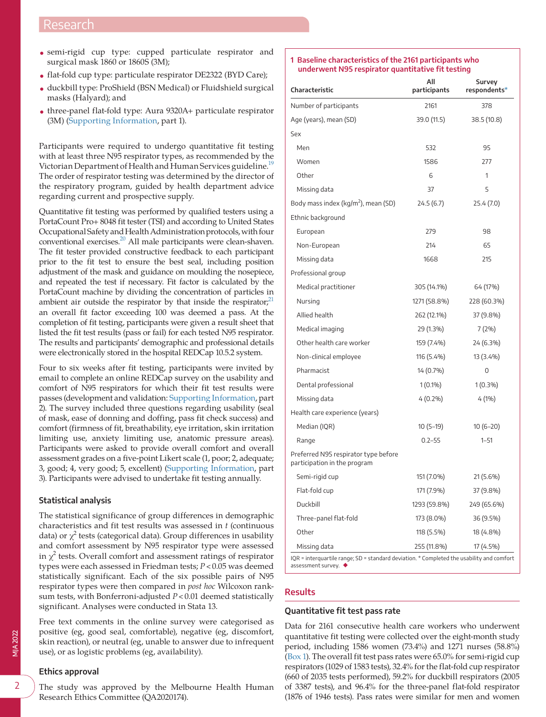# Research

- semi-rigid cup type: cupped particulate respirator and surgical mask 1860 or 1860S (3M);
- flat-fold cup type: particulate respirator DE2322 (BYD Care);
- duckbill type: ProShield (BSN Medical) or Fluidshield surgical masks (Halyard); and
- three-panel flat-fold type: Aura 9320A+ particulate respirator (3M) [\(Supporting Information](#page-5-11), part 1).

Participants were required to undergo quantitative fit testing with at least three N95 respirator types, as recommended by the Victorian Department of Health and Human Services guideline[.19](#page-5-12) The order of respirator testing was determined by the director of the respiratory program, guided by health department advice regarding current and prospective supply.

Quantitative fit testing was performed by qualified testers using a PortaCount Pro+ 8048 fit tester (TSI) and according to United States Occupational Safety and Health Administration protocols, with four conventional exercises.<sup>20</sup> All male participants were clean-shaven. The fit tester provided constructive feedback to each participant prior to the fit test to ensure the best seal, including position adjustment of the mask and guidance on moulding the nosepiece, and repeated the test if necessary. Fit factor is calculated by the PortaCount machine by dividing the concentration of particles in ambient air outside the respirator by that inside the respirator; $2<sup>1</sup>$ an overall fit factor exceeding 100 was deemed a pass. At the completion of fit testing, participants were given a result sheet that listed the fit test results (pass or fail) for each tested N95 respirator. The results and participants' demographic and professional details were electronically stored in the hospital REDCap 10.5.2 system.

Four to six weeks after fit testing, participants were invited by email to complete an online REDCap survey on the usability and comfort of N95 respirators for which their fit test results were passes (development and validation: [Supporting Information,](#page-5-11) part 2). The survey included three questions regarding usability (seal of mask, ease of donning and doffing, pass fit check success) and comfort (firmness of fit, breathability, eye irritation, skin irritation limiting use, anxiety limiting use, anatomic pressure areas). Participants were asked to provide overall comfort and overall assessment grades on a five-point Likert scale (1, poor; 2, adequate; 3, good; 4, very good; 5, excellent) [\(Supporting Information](#page-5-11), part 3). Participants were advised to undertake fit testing annually.

#### **Statistical analysis**

The statistical significance of group differences in demographic characteristics and fit test results was assessed in *t* (continuous data) or  $\chi^2$  tests (categorical data). Group differences in usability and comfort assessment by N95 respirator type were assessed in  $\chi^2$  tests. Overall comfort and assessment ratings of respirator types were each assessed in Friedman tests; *P*<0.05 was deemed statistically significant. Each of the six possible pairs of N95 respirator types were then compared in *post hoc* Wilcoxon ranksum tests, with Bonferroni-adjusted *P*<0.01 deemed statistically significant. Analyses were conducted in Stata 13.

Free text comments in the online survey were categorised as positive (eg, good seal, comfortable), negative (eg, discomfort, skin reaction), or neutral (eg, unable to answer due to infrequent use), or as logistic problems (eg, availability).

Research Ethics Committee (QA2020174).

#### <span id="page-1-0"></span>**1 Baseline characteristics of the 2161 participants who underwent N95 respirator quantitative fit testing**

| Characteristic                                                       | All<br>participants | Survey<br>respondents* |  |
|----------------------------------------------------------------------|---------------------|------------------------|--|
| Number of participants                                               | 2161                | 378                    |  |
| Age (years), mean (SD)                                               | 39.0 (11.5)         | 38.5 (10.8)            |  |
| Sex                                                                  |                     |                        |  |
| Men                                                                  | 532                 | 95                     |  |
| Women                                                                | 1586                | 277                    |  |
| Other                                                                | 6                   | 1                      |  |
| Missing data                                                         | 37                  | 5                      |  |
| Body mass index ( $\text{kg/m}^2$ ), mean (SD)                       | 24.5(6.7)           | 25.4(7.0)              |  |
| Ethnic background                                                    |                     |                        |  |
| European                                                             | 279                 | 98                     |  |
| Non-European                                                         | 214                 | 65                     |  |
| Missing data                                                         | 1668                | 215                    |  |
| Professional group                                                   |                     |                        |  |
| Medical practitioner                                                 | 305 (14.1%)         | 64 (17%)               |  |
| Nursing                                                              | 1271 (58.8%)        | 228 (60.3%)            |  |
| Allied health                                                        | 262 (12.1%)         | 37 (9.8%)              |  |
| Medical imaging                                                      | 29 (1.3%)           | 7 (2%)                 |  |
| Other health care worker                                             | 159 (7.4%)          | 24 (6.3%)              |  |
| Non-clinical employee                                                | 116 (5.4%)          | 13 (3.4%)              |  |
| Pharmacist                                                           | 14 (0.7%)           | 0                      |  |
| Dental professional                                                  | $1(0.1\%)$          | $1(0.3\%)$             |  |
| Missing data                                                         | 4 (0.2%)            | 4 (1%)                 |  |
| Health care experience (years)                                       |                     |                        |  |
| Median (IQR)                                                         | $10(5-19)$          | $10(6-20)$             |  |
| Range                                                                | $0.2 - 55$          | $1 - 51$               |  |
| Preferred N95 respirator type before<br>participation in the program |                     |                        |  |
| Semi-rigid cup                                                       | 151 (7.0%)          | 21 (5.6%)              |  |
| Flat-fold cup                                                        | 171 (7.9%)          | 37 (9.8%)              |  |
| Duckbill                                                             | 1293 (59.8%)        | 249 (65.6%)            |  |
| Three-panel flat-fold                                                | 173 (8.0%)          | 36 (9.5%)              |  |
| Other                                                                | 118 (5.5%)          | 18 (4.8%)              |  |
| Missing data                                                         | 255 (11.8%)         | 17 (4.5%)              |  |

#### <span id="page-1-1"></span>**Results**

#### **Quantitative fit test pass rate**

Data for 2161 consecutive health care workers who underwent quantitative fit testing were collected over the eight-month study period, including 1586 women (73.4%) and 1271 nurses (58.8%) ([Box 1\)](#page-1-0). The overall fit test pass rates were 65.0% for semi-rigid cup respirators (1029 of 1583 tests), 32.4% for the flat-fold cup respirator (660 of 2035 tests performed), 59.2% for duckbill respirators (2005 of 3387 tests), and 96.4% for the three-panel flat-fold respirator (1876 of 1946 tests). Pass rates were similar for men and women

MJA 2022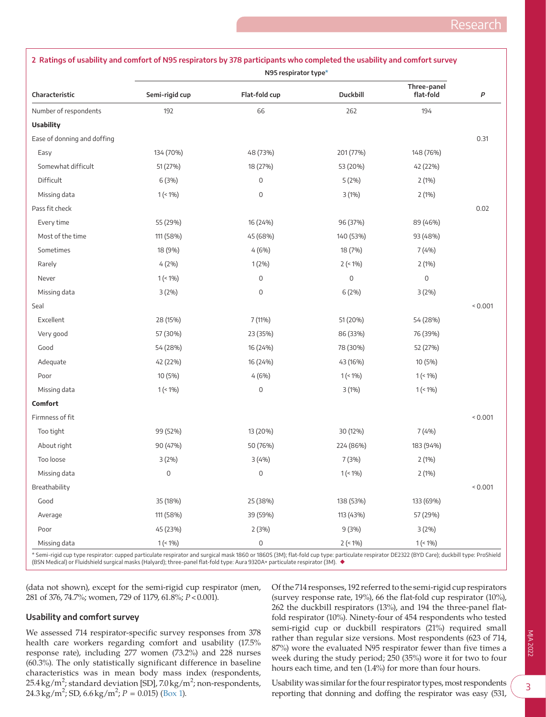<span id="page-2-1"></span>

| Characteristic              | 2 Ratings of usability and comfort of N95 respirators by 378 participants who completed the usability and comfort survey<br>N95 respirator type* |                     |                     |                          |       |
|-----------------------------|--------------------------------------------------------------------------------------------------------------------------------------------------|---------------------|---------------------|--------------------------|-------|
|                             | Semi-rigid cup                                                                                                                                   | Flat-fold cup       | <b>Duckbill</b>     | Three-panel<br>flat-fold | P     |
| Number of respondents       | 192                                                                                                                                              | 66                  | 262                 | 194                      |       |
| <b>Usability</b>            |                                                                                                                                                  |                     |                     |                          |       |
| Ease of donning and doffing |                                                                                                                                                  |                     |                     |                          | 0.31  |
| Easy                        | 134 (70%)                                                                                                                                        | 48 (73%)            | 201 (77%)           | 148 (76%)                |       |
| Somewhat difficult          | 51 (27%)                                                                                                                                         | 18 (27%)            | 53 (20%)            | 42 (22%)                 |       |
| Difficult                   | 6 (3%)                                                                                                                                           | $\mathsf{O}\xspace$ | 5(2%)               | 2(1%)                    |       |
| Missing data                | $1$ (< 1%)                                                                                                                                       | $\mathsf{O}\xspace$ | 3(1%)               | 2(1%)                    |       |
| Pass fit check              |                                                                                                                                                  |                     |                     |                          | 0.02  |
| Every time                  | 55 (29%)                                                                                                                                         | 16 (24%)            | 96 (37%)            | 89 (46%)                 |       |
| Most of the time            | 111 (58%)                                                                                                                                        | 45 (68%)            | 140 (53%)           | 93 (48%)                 |       |
| Sometimes                   | 18 (9%)                                                                                                                                          | 4(6%)               | 18 (7%)             | 7(4%)                    |       |
| Rarely                      | 4(2%)                                                                                                                                            | 1(2%)               | $2$ (< 1%)          | 2(1%)                    |       |
| Never                       | $1$ (< 1%)                                                                                                                                       | $\mathsf{O}\xspace$ | $\mathsf{O}\xspace$ | 0                        |       |
| Missing data                | 3(2%)                                                                                                                                            | $\mathbf 0$         | 6(2%)               | 3(2%)                    |       |
| Seal                        |                                                                                                                                                  |                     |                     |                          | 0.001 |
| Excellent                   | 28 (15%)                                                                                                                                         | 7 (11%)             | 51 (20%)            | 54 (28%)                 |       |
| Very good                   | 57 (30%)                                                                                                                                         | 23 (35%)            | 86 (33%)            | 76 (39%)                 |       |
| Good                        | 54 (28%)                                                                                                                                         | 16 (24%)            | 78 (30%)            | 52 (27%)                 |       |
| Adequate                    | 42 (22%)                                                                                                                                         | 16 (24%)            | 43 (16%)            | 10 (5%)                  |       |
| Poor                        | 10 (5%)                                                                                                                                          | 4(6%)               | $1$ (< 1%)          | $1$ (< 1%)               |       |
| Missing data                | $1$ (< 1%)                                                                                                                                       | $\mathsf{O}\xspace$ | 3(1%)               | $1$ (< 1%)               |       |
| Comfort                     |                                                                                                                                                  |                     |                     |                          |       |
| Firmness of fit             |                                                                                                                                                  |                     |                     |                          | 0.001 |
| Too tight                   | 99 (52%)                                                                                                                                         | 13 (20%)            | 30 (12%)            | 7 (4%)                   |       |
| About right                 | 90 (47%)                                                                                                                                         | 50 (76%)            | 224 (86%)           | 183 (94%)                |       |
| Too loose                   | 3(2%)                                                                                                                                            | 3(4%)               | 7 (3%)              | 2(1%)                    |       |
| Missing data                | $\mathsf{O}\xspace$                                                                                                                              | $\mathbf 0$         | $1$ (< 1%)          | 2(1%)                    |       |
| Breathability               |                                                                                                                                                  |                     |                     |                          | 0.001 |
| Good                        | 35 (18%)                                                                                                                                         | 25 (38%)            | 138 (53%)           | 133 (69%)                |       |
| Average                     | 111 (58%)                                                                                                                                        | 39 (59%)            | 113 (43%)           | 57 (29%)                 |       |
| Poor                        | 45 (23%)                                                                                                                                         | 2(3%)               | 9(3%)               | 3(2%)                    |       |
| Missing data                | $1$ (< 1%)                                                                                                                                       | $\mathsf{O}\xspace$ | $2 (= 1%)$          | $1$ (< $1\%$ )           |       |

<span id="page-2-0"></span>Semi-rigid cup type respirator: cupped particulate respirator and surgical mask 1860 or 1860S (3M); flat-fold cup type: particulate respirator DE2322 (BYD Care); duckbill type: ProShield (BSN Medical) or Fluidshield surgical masks (Halyard); three-panel flat-fold type: Aura 9320A+ particulate respirator (3M). ◆

(data not shown), except for the semi-rigid cup respirator (men, 281 of 376, 74.7%; women, 729 of 1179, 61.8%; *P*<0.001).

#### **Usability and comfort survey**

We assessed 714 respirator-specific survey responses from 378 health care workers regarding comfort and usability (17.5% response rate), including 277 women (73.2%) and 228 nurses (60.3%). The only statistically significant difference in baseline characteristics was in mean body mass index (respondents,  $25.4 \text{ kg/m}^2$ ; standard deviation [SD],  $7.0 \text{ kg/m}^2$ ; non-respondents,  $24.3 \text{ kg/m}^2$ ; SD, 6.6 kg/m<sup>2</sup>;  $P = 0.015$ ) ([Box 1\)](#page-1-0).

Of the 714 responses, 192 referred to the semi-rigid cup respirators (survey response rate, 19%), 66 the flat-fold cup respirator (10%), 262 the duckbill respirators (13%), and 194 the three-panel flatfold respirator (10%). Ninety-four of 454 respondents who tested semi-rigid cup or duckbill respirators (21%) required small rather than regular size versions. Most respondents (623 of 714, 87%) wore the evaluated N95 respirator fewer than five times a week during the study period; 250 (35%) wore it for two to four hours each time, and ten (1.4%) for more than four hours.

Usability was similar for the four respirator types, most respondents reporting that donning and doffing the respirator was easy (531,

3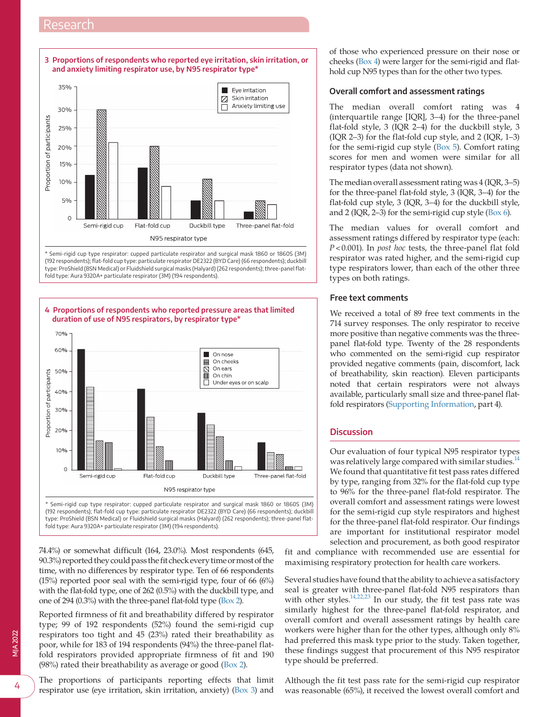# Research

<span id="page-3-0"></span>

\* Semi-rigid cup type respirator: cupped particulate respirator and surgical mask 1860 or 1860S (3M) (192 respondents); flat-fold cup type: particulate respirator DE2322 (BYD Care) (66 respondents); duckbill type: ProShield (BSN Medical) or Fluidshield surgical masks (Halyard) (262 respondents); three-panel flatfold type: Aura 9320A+ particulate respirator (3M) (194 respondents).

<span id="page-3-1"></span>

(192 respondents); flat-fold cup type: particulate respirator DE2322 (BYD Care) (66 respondents); duckbill type: ProShield (BSN Medical) or Fluidshield surgical masks (Halyard) (262 respondents); three-panel flatfold type: Aura 9320A+ particulate respirator (3M) (194 respondents).

74.4%) or somewhat difficult (164, 23.0%). Most respondents (645, 90.3%) reported they could pass the fit check every time or most of the time, with no differences by respirator type. Ten of 66 respondents  $(15%)$  reported poor seal with the semi-rigid type, four of 66  $(6%)$ with the flat-fold type, one of 262 (0.5%) with the duckbill type, and one of 294 (0.3%) with the three-panel flat-fold type [\(Box 2](#page-2-1)).

Reported firmness of fit and breathability differed by respirator type; 99 of 192 respondents (52%) found the semi-rigid cup respirators too tight and 45 (23%) rated their breathability as poor, while for 183 of 194 respondents (94%) the three-panel flatfold respirators provided appropriate firmness of fit and 190 (98%) rated their breathability as average or good [\(Box 2](#page-2-1)).

The proportions of participants reporting effects that limit respirator use (eye irritation, skin irritation, anxiety) [\(Box 3\)](#page-3-0) and of those who experienced pressure on their nose or cheeks [\(Box 4\)](#page-3-1) were larger for the semi-rigid and flathold cup N95 types than for the other two types.

#### **Overall comfort and assessment ratings**

The median overall comfort rating was 4 (interquartile range [IQR], 3–4) for the three-panel flat-fold style, 3 (IQR 2–4) for the duckbill style, 3 (IQR 2–3) for the flat-fold cup style, and 2 (IQR, 1–3) for the semi-rigid cup style [\(Box 5](#page-4-0)). Comfort rating scores for men and women were similar for all respirator types (data not shown).

The median overall assessment rating was 4 (IQR, 3–5) for the three-panel flat-fold style, 3 (IQR, 3–4) for the flat-fold cup style, 3 (IQR, 3–4) for the duckbill style, and 2 (IQR, 2–3) for the semi-rigid cup style ([Box 6](#page-4-1)).

The median values for overall comfort and assessment ratings differed by respirator type (each: *P*<0.001). In *post hoc* tests, the three-panel flat fold respirator was rated higher, and the semi-rigid cup type respirators lower, than each of the other three types on both ratings.

#### **Free text comments**

We received a total of 89 free text comments in the 714 survey responses. The only respirator to receive more positive than negative comments was the threepanel flat-fold type. Twenty of the 28 respondents who commented on the semi-rigid cup respirator provided negative comments (pain, discomfort, lack of breathability, skin reaction). Eleven participants noted that certain respirators were not always available, particularly small size and three-panel flatfold respirators [\(Supporting Information](#page-5-11), part 4).

#### **Discussion**

Our evaluation of four typical N95 respirator types was relatively large compared with similar studies.<sup>14</sup> We found that quantitative fit test pass rates differed by type, ranging from 32% for the flat-fold cup type to 96% for the three-panel flat-fold respirator. The overall comfort and assessment ratings were lowest for the semi-rigid cup style respirators and highest for the three-panel flat-fold respirator. Our findings are important for institutional respirator model selection and procurement, as both good respirator

fit and compliance with recommended use are essential for maximising respiratory protection for health care workers.

Several studies have found that the ability to achieve a satisfactory seal is greater with three-panel flat-fold N95 respirators than with other styles. $\frac{14,22,23}{10}$  In our study, the fit test pass rate was similarly highest for the three-panel flat-fold respirator, and overall comfort and overall assessment ratings by health care workers were higher than for the other types, although only 8% had preferred this mask type prior to the study. Taken together, these findings suggest that procurement of this N95 respirator type should be preferred.

Although the fit test pass rate for the semi-rigid cup respirator was reasonable (65%), it received the lowest overall comfort and

4 4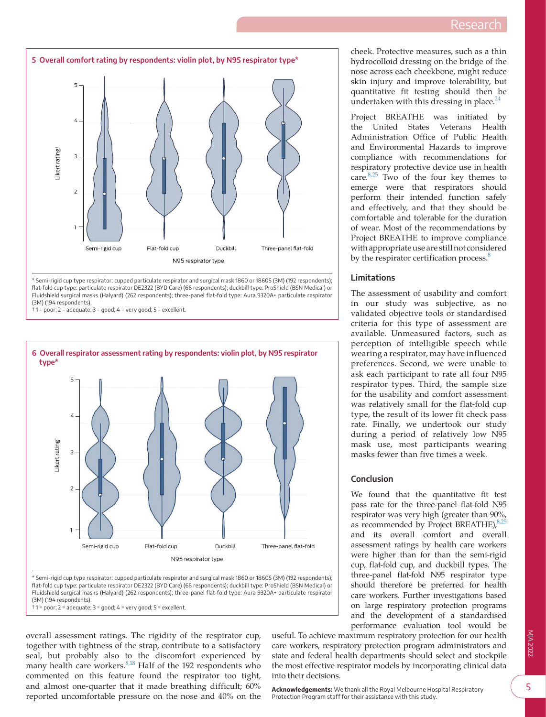<span id="page-4-0"></span>

\* Semi-rigid cup type respirator: cupped particulate respirator and surgical mask 1860 or 1860S (3M) (192 respondents); flat-fold cup type: particulate respirator DE2322 (BYD Care) (66 respondents); duckbill type: ProShield (BSN Medical) or Fluidshield surgical masks (Halyard) (262 respondents); three-panel flat-fold type: Aura 9320A+ particulate respirator (3M) (194 respondents).

 $\dagger$  1 = poor; 2 = adequate; 3 = good; 4 = very good; 5 = excellent.

<span id="page-4-1"></span>

flat-fold cup type: particulate respirator DE2322 (BYD Care) (66 respondents); duckbill type: ProShield (BSN Medical) or Fluidshield surgical masks (Halyard) (262 respondents); three-panel flat-fold type: Aura 9320A+ particulate respirator (3M) (194 respondents).

† 1 = poor; 2 = adequate; 3 = good; 4 = very good; 5 = excellent.

overall assessment ratings. The rigidity of the respirator cup, together with tightness of the strap, contribute to a satisfactory seal, but probably also to the discomfort experienced by many health care workers.<sup>[8,18](#page-5-7)</sup> Half of the 192 respondents who commented on this feature found the respirator too tight, and almost one-quarter that it made breathing difficult; 60% reported uncomfortable pressure on the nose and 40% on the cheek. Protective measures, such as a thin hydrocolloid dressing on the bridge of the nose across each cheekbone, might reduce skin injury and improve tolerability, but quantitative fit testing should then be undertaken with this dressing in place. $^{24}$  $^{24}$  $^{24}$ 

Project BREATHE was initiated by the United States Veterans Health Administration Office of Public Health and Environmental Hazards to improve compliance with recommendations for respiratory protective device use in health care. $8,25$  Two of the four key themes to emerge were that respirators should perform their intended function safely and effectively, and that they should be comfortable and tolerable for the duration of wear. Most of the recommendations by Project BREATHE to improve compliance with appropriate use are still not considered by the respirator certification process.<sup>8</sup>

#### **Limitations**

The assessment of usability and comfort in our study was subjective, as no validated objective tools or standardised criteria for this type of assessment are available. Unmeasured factors, such as perception of intelligible speech while wearing a respirator, may have influenced preferences. Second, we were unable to ask each participant to rate all four N95 respirator types. Third, the sample size for the usability and comfort assessment was relatively small for the flat-fold cup type, the result of its lower fit check pass rate. Finally, we undertook our study during a period of relatively low N95 mask use, most participants wearing masks fewer than five times a week.

#### **Conclusion**

We found that the quantitative fit test pass rate for the three-panel flat-fold N95 respirator was very high (greater than 90%, as recommended by Project BREATHE), $8,25$ and its overall comfort and overall assessment ratings by health care workers were higher than for than the semi-rigid cup, flat-fold cup, and duckbill types. The three-panel flat-fold N95 respirator type should therefore be preferred for health care workers. Further investigations based on large respiratory protection programs and the development of a standardised performance evaluation tool would be

useful. To achieve maximum respiratory protection for our health care workers, respiratory protection program administrators and state and federal health departments should select and stockpile the most effective respirator models by incorporating clinical data into their decisions.

**Acknowledgements:** We thank all the Royal Melbourne Hospital Respiratory Protection Program staff for their assistance with this study.

5